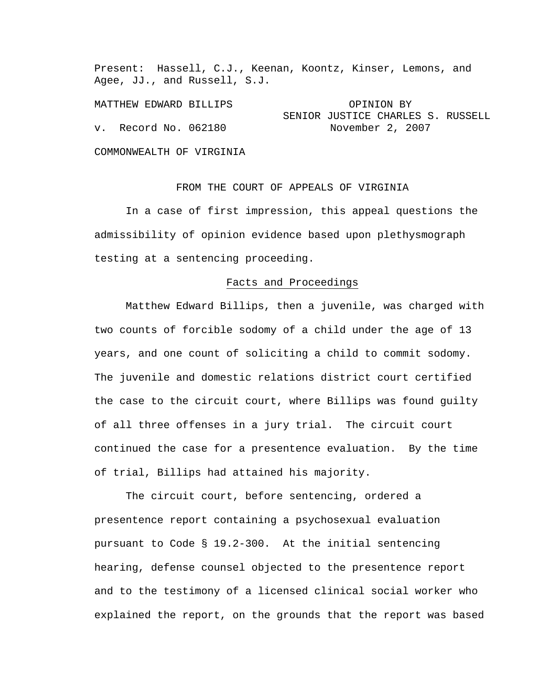Present: Hassell, C.J., Keenan, Koontz, Kinser, Lemons, and Agee, JJ., and Russell, S.J.

MATTHEW EDWARD BILLIPS **EXECUTE:** OPINION BY SENIOR JUSTICE CHARLES S. RUSSELL v. Record No. 062180 November 2, 2007

COMMONWEALTH OF VIRGINIA

FROM THE COURT OF APPEALS OF VIRGINIA

 In a case of first impression, this appeal questions the admissibility of opinion evidence based upon plethysmograph testing at a sentencing proceeding.

## Facts and Proceedings

 Matthew Edward Billips, then a juvenile, was charged with two counts of forcible sodomy of a child under the age of 13 years, and one count of soliciting a child to commit sodomy. The juvenile and domestic relations district court certified the case to the circuit court, where Billips was found guilty of all three offenses in a jury trial. The circuit court continued the case for a presentence evaluation. By the time of trial, Billips had attained his majority.

 The circuit court, before sentencing, ordered a presentence report containing a psychosexual evaluation pursuant to Code § 19.2-300. At the initial sentencing hearing, defense counsel objected to the presentence report and to the testimony of a licensed clinical social worker who explained the report, on the grounds that the report was based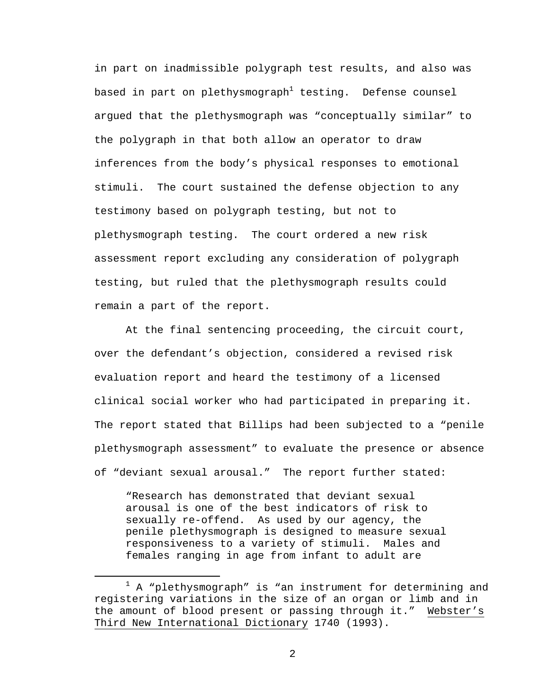in part on inadmissible polygraph test results, and also was based in part on plethysmograph $^1$  testing. Defense counsel argued that the plethysmograph was "conceptually similar" to the polygraph in that both allow an operator to draw inferences from the body's physical responses to emotional stimuli. The court sustained the defense objection to any testimony based on polygraph testing, but not to plethysmograph testing. The court ordered a new risk assessment report excluding any consideration of polygraph testing, but ruled that the plethysmograph results could remain a part of the report.

 At the final sentencing proceeding, the circuit court, over the defendant's objection, considered a revised risk evaluation report and heard the testimony of a licensed clinical social worker who had participated in preparing it. The report stated that Billips had been subjected to a "penile plethysmograph assessment" to evaluate the presence or absence of "deviant sexual arousal." The report further stated:

"Research has demonstrated that deviant sexual arousal is one of the best indicators of risk to sexually re-offend. As used by our agency, the penile plethysmograph is designed to measure sexual responsiveness to a variety of stimuli. Males and females ranging in age from infant to adult are

<sup>&</sup>lt;u>1</u>  $1$  A "plethysmograph" is "an instrument for determining and registering variations in the size of an organ or limb and in the amount of blood present or passing through it." Webster's Third New International Dictionary 1740 (1993).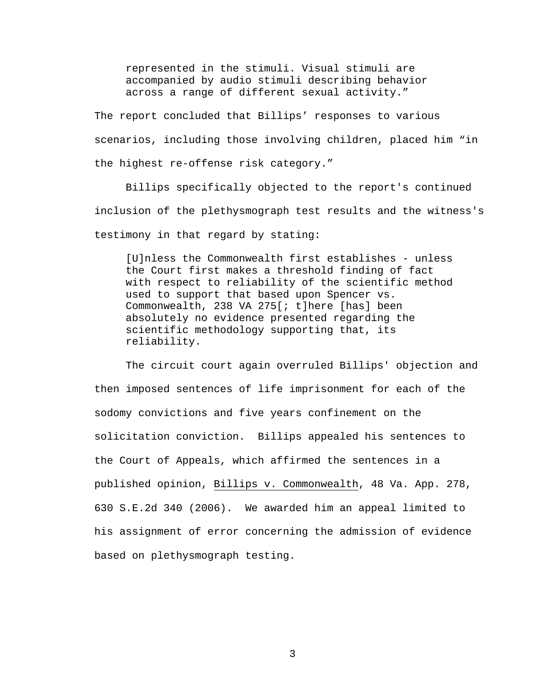represented in the stimuli. Visual stimuli are accompanied by audio stimuli describing behavior across a range of different sexual activity."

The report concluded that Billips' responses to various scenarios, including those involving children, placed him "in the highest re-offense risk category."

 Billips specifically objected to the report's continued inclusion of the plethysmograph test results and the witness's testimony in that regard by stating:

[U]nless the Commonwealth first establishes - unless the Court first makes a threshold finding of fact with respect to reliability of the scientific method used to support that based upon Spencer vs. Commonwealth, 238 VA 275[; t]here [has] been absolutely no evidence presented regarding the scientific methodology supporting that, its reliability.

 The circuit court again overruled Billips' objection and then imposed sentences of life imprisonment for each of the sodomy convictions and five years confinement on the solicitation conviction. Billips appealed his sentences to the Court of Appeals, which affirmed the sentences in a published opinion, Billips v. Commonwealth, 48 Va. App. 278, 630 S.E.2d 340 (2006). We awarded him an appeal limited to his assignment of error concerning the admission of evidence based on plethysmograph testing.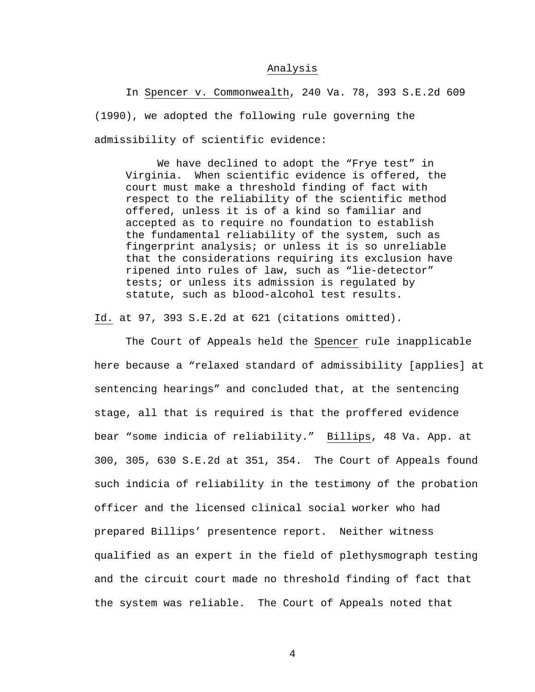## Analysis

 In Spencer v. Commonwealth, 240 Va. 78, 393 S.E.2d 609 (1990), we adopted the following rule governing the admissibility of scientific evidence:

We have declined to adopt the "Frye test" in Virginia. When scientific evidence is offered, the court must make a threshold finding of fact with respect to the reliability of the scientific method offered, unless it is of a kind so familiar and accepted as to require no foundation to establish the fundamental reliability of the system, such as fingerprint analysis; or unless it is so unreliable that the considerations requiring its exclusion have ripened into rules of law, such as "lie-detector" tests; or unless its admission is regulated by statute, such as blood-alcohol test results.

Id. at 97, 393 S.E.2d at 621 (citations omitted).

 The Court of Appeals held the Spencer rule inapplicable here because a "relaxed standard of admissibility [applies] at sentencing hearings" and concluded that, at the sentencing stage, all that is required is that the proffered evidence bear "some indicia of reliability." Billips, 48 Va. App. at 300, 305, 630 S.E.2d at 351, 354. The Court of Appeals found such indicia of reliability in the testimony of the probation officer and the licensed clinical social worker who had prepared Billips' presentence report. Neither witness qualified as an expert in the field of plethysmograph testing and the circuit court made no threshold finding of fact that the system was reliable. The Court of Appeals noted that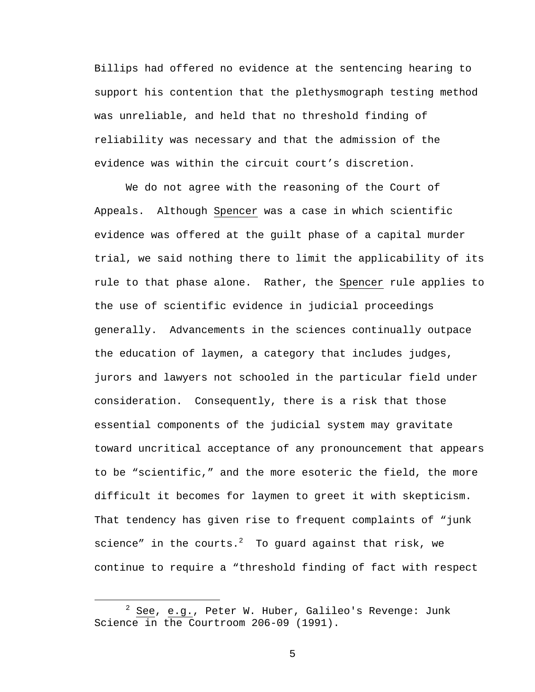Billips had offered no evidence at the sentencing hearing to support his contention that the plethysmograph testing method was unreliable, and held that no threshold finding of reliability was necessary and that the admission of the evidence was within the circuit court's discretion.

 We do not agree with the reasoning of the Court of Appeals. Although Spencer was a case in which scientific evidence was offered at the guilt phase of a capital murder trial, we said nothing there to limit the applicability of its rule to that phase alone. Rather, the Spencer rule applies to the use of scientific evidence in judicial proceedings generally. Advancements in the sciences continually outpace the education of laymen, a category that includes judges, jurors and lawyers not schooled in the particular field under consideration. Consequently, there is a risk that those essential components of the judicial system may gravitate toward uncritical acceptance of any pronouncement that appears to be "scientific," and the more esoteric the field, the more difficult it becomes for laymen to greet it with skepticism. That tendency has given rise to frequent complaints of "junk science" in the courts. $^2$  To guard against that risk, we continue to require a "threshold finding of fact with respect

 <sup>2</sup>  $2$  See, e.g., Peter W. Huber, Galileo's Revenge: Junk Science in the Courtroom 206-09 (1991).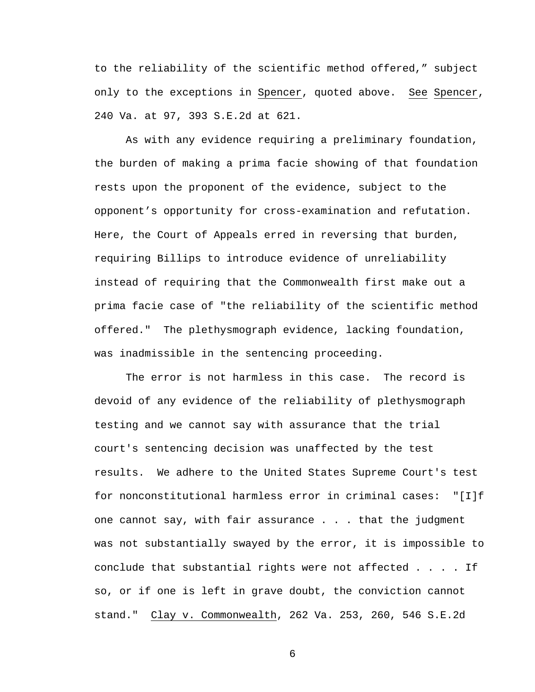to the reliability of the scientific method offered," subject only to the exceptions in Spencer, quoted above. See Spencer, 240 Va. at 97, 393 S.E.2d at 621.

 As with any evidence requiring a preliminary foundation, the burden of making a prima facie showing of that foundation rests upon the proponent of the evidence, subject to the opponent's opportunity for cross-examination and refutation. Here, the Court of Appeals erred in reversing that burden, requiring Billips to introduce evidence of unreliability instead of requiring that the Commonwealth first make out a prima facie case of "the reliability of the scientific method offered." The plethysmograph evidence, lacking foundation, was inadmissible in the sentencing proceeding.

 The error is not harmless in this case. The record is devoid of any evidence of the reliability of plethysmograph testing and we cannot say with assurance that the trial court's sentencing decision was unaffected by the test results. We adhere to the United States Supreme Court's test for nonconstitutional harmless error in criminal cases: "[I]f one cannot say, with fair assurance . . . that the judgment was not substantially swayed by the error, it is impossible to conclude that substantial rights were not affected . . . . If so, or if one is left in grave doubt, the conviction cannot stand." Clay v. Commonwealth, 262 Va. 253, 260, 546 S.E.2d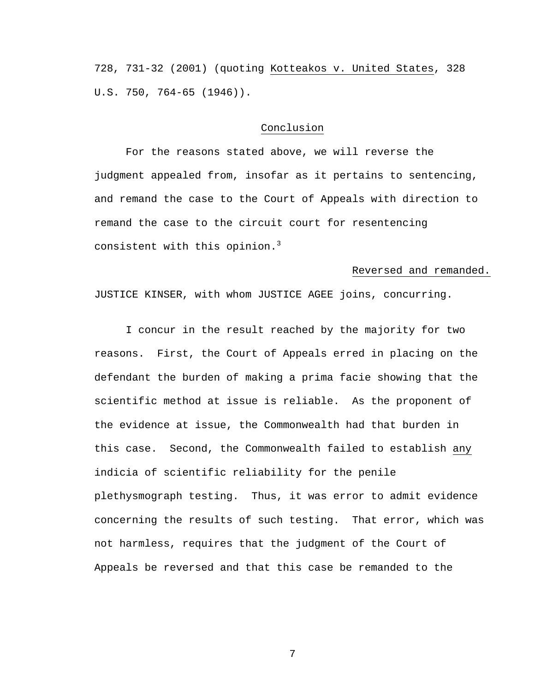728, 731-32 (2001) (quoting Kotteakos v. United States, 328 U.S. 750, 764-65 (1946)).

## Conclusion

 For the reasons stated above, we will reverse the judgment appealed from, insofar as it pertains to sentencing, and remand the case to the Court of Appeals with direction to remand the case to the circuit court for resentencing consistent with this opinion.<sup>3</sup>

## Reversed and remanded.

JUSTICE KINSER, with whom JUSTICE AGEE joins, concurring.

I concur in the result reached by the majority for two reasons. First, the Court of Appeals erred in placing on the defendant the burden of making a prima facie showing that the scientific method at issue is reliable. As the proponent of the evidence at issue, the Commonwealth had that burden in this case. Second, the Commonwealth failed to establish any indicia of scientific reliability for the penile plethysmograph testing. Thus, it was error to admit evidence concerning the results of such testing. That error, which was not harmless, requires that the judgment of the Court of Appeals be reversed and that this case be remanded to the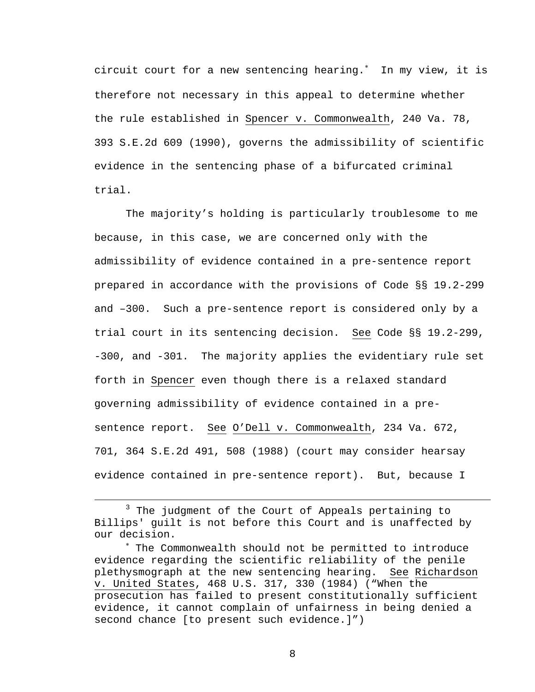circuit court for a new sentencing hearing.<sup>∗</sup> In my view, it is therefore not necessary in this appeal to determine whether the rule established in Spencer v. Commonwealth, 240 Va. 78, 393 S.E.2d 609 (1990), governs the admissibility of scientific evidence in the sentencing phase of a bifurcated criminal trial.

The majority's holding is particularly troublesome to me because, in this case, we are concerned only with the admissibility of evidence contained in a pre-sentence report prepared in accordance with the provisions of Code §§ 19.2-299 and –300. Such a pre-sentence report is considered only by a trial court in its sentencing decision. See Code §§ 19.2-299, -300, and -301. The majority applies the evidentiary rule set forth in Spencer even though there is a relaxed standard governing admissibility of evidence contained in a presentence report. See O'Dell v. Commonwealth, 234 Va. 672, 701, 364 S.E.2d 491, 508 (1988) (court may consider hearsay evidence contained in pre-sentence report). But, because I

 $\frac{1}{3}$  $3$  The judgment of the Court of Appeals pertaining to Billips' guilt is not before this Court and is unaffected by our decision.

<sup>∗</sup> The Commonwealth should not be permitted to introduce evidence regarding the scientific reliability of the penile plethysmograph at the new sentencing hearing. See Richardson v. United States, 468 U.S. 317, 330 (1984) ("When the prosecution has failed to present constitutionally sufficient evidence, it cannot complain of unfairness in being denied a second chance [to present such evidence.]")